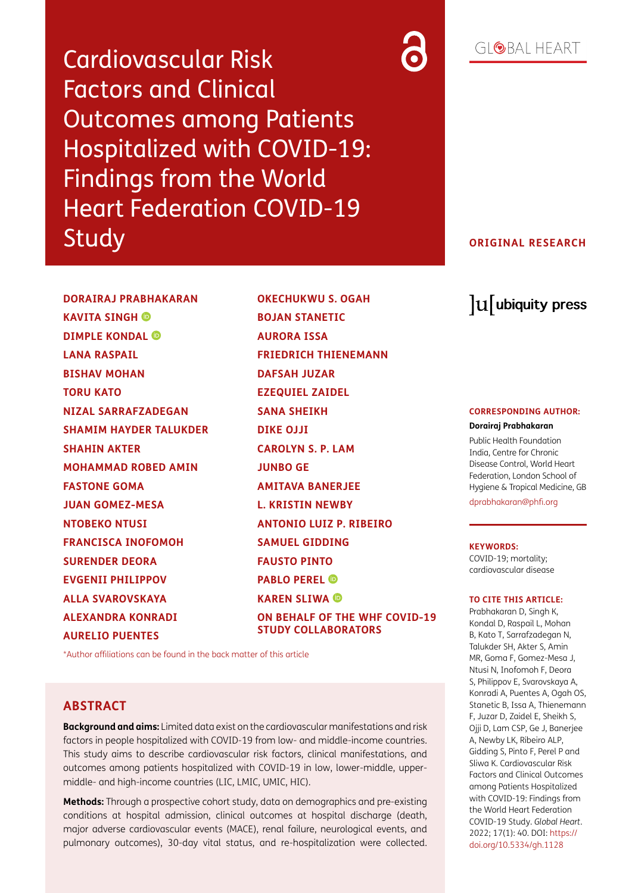Cardiovascular Risk Factors and Clinical Outcomes among Patients Hospitalized with COVID-19: Findings from the World Heart Federation COVID-19 Study

### **ORIGINAL RESEARCH**

**DORAIRAJ PRABHAKARAN KAVITA SINGH DIMPLE KONDAL LANA RASPAIL BISHAV MOHAN TORU KATO NIZAL SARRAFZADEGAN SHAMIM HAYDER TALUKDER SHAHIN AKTER MOHAMMAD ROBED AMIN FASTONE GOMA JUAN GOMEZ-MESA NTOBEKO NTUSI FRANCISCA INOFOMOH SURENDER DEORA EVGENII PHILIPPOV ALLA SVAROVSKAYA ALEXANDRA KONRADI AURELIO PUENTES**

**OKECHUKWU S. OGAH BOJAN STANETIC AURORA ISSA FRIEDRICH THIENEMANN DAFSAH JUZAR EZEQUIEL ZAIDEL SANA SHEIKH DIKE OJJI CAROLYN S. P. LAM JUNBO GE AMITAVA BANERJEE L. KRISTIN NEWBY ANTONIO LUIZ P. RIBEIRO SAMUEL GIDDING FAUSTO PINTO PABLO PEREL KAREN SLIWA ON BEHALF OF THE WHF COVID-19 STUDY COLLABORATORS**

[\\*Author affiliations can be found in the back matter of this article](#page-16-0)

## **ABSTRACT**

**Background and aims:** Limited data exist on the cardiovascular manifestations and risk factors in people hospitalized with COVID-19 from low- and middle-income countries. This study aims to describe cardiovascular risk factors, clinical manifestations, and outcomes among patients hospitalized with COVID-19 in low, lower-middle, uppermiddle- and high-income countries (LIC, LMIC, UMIC, HIC).

**Methods:** Through a prospective cohort study, data on demographics and pre-existing conditions at hospital admission, clinical outcomes at hospital discharge (death, major adverse cardiovascular events (MACE), renal failure, neurological events, and pulmonary outcomes), 30-day vital status, and re-hospitalization were collected.

# lu ubiquity press

#### **CORRESPONDING AUTHOR:**

#### **Dorairaj Prabhakaran**

Public Health Foundation India, Centre for Chronic Disease Control, World Heart Federation, London School of Hygiene & Tropical Medicine, GB

dprabhakaran@phfi.org

#### **KEYWORDS:**

COVID-19; mortality; cardiovascular disease

#### **TO CITE THIS ARTICLE:**

Prabhakaran D, Singh K, Kondal D, Raspail L, Mohan B, Kato T, Sarrafzadegan N, Talukder SH, Akter S, Amin MR, Goma F, Gomez-Mesa J, Ntusi N, Inofomoh F, Deora S, Philippov E, Svarovskaya A, Konradi A, Puentes A, Ogah OS, Stanetic B, Issa A, Thienemann F, Juzar D, Zaidel E, Sheikh S, Ojji D, Lam CSP, Ge J, Banerjee A, Newby LK, Ribeiro ALP, Gidding S, Pinto F, Perel P and Sliwa K. Cardiovascular Risk Factors and Clinical Outcomes among Patients Hospitalized with COVID-19: Findings from the World Heart Federation COVID-19 Study. *Global Heart*. 2022; 17(1): 40. DOI: [https://](https://doi.org/10.5334/gh.1128) [doi.org/10.5334/gh.1128](https://doi.org/10.5334/gh.1128)